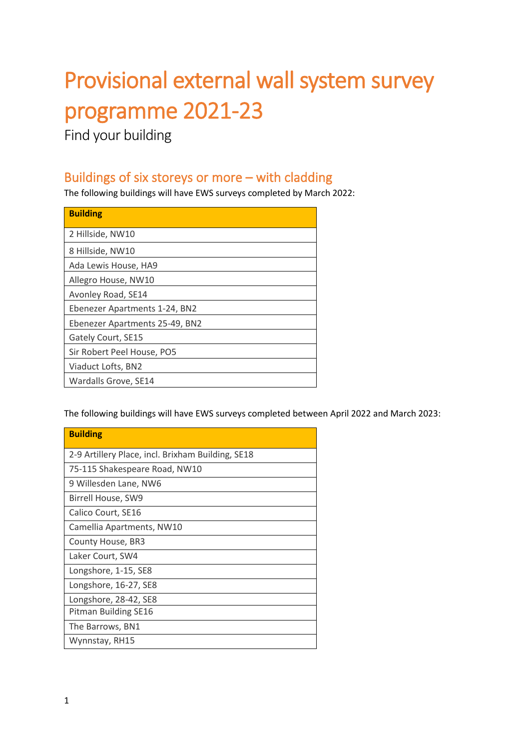# Provisional external wall system survey programme 2021-23

Find your building

#### Buildings of six storeys or more – with cladding

The following buildings will have EWS surveys completed by March 2022:

| <b>Building</b>                |
|--------------------------------|
| 2 Hillside, NW10               |
| 8 Hillside, NW10               |
| Ada Lewis House, HA9           |
| Allegro House, NW10            |
| Avonley Road, SE14             |
| Ebenezer Apartments 1-24, BN2  |
| Ebenezer Apartments 25-49, BN2 |
| Gately Court, SE15             |
| Sir Robert Peel House, PO5     |
| Viaduct Lofts, BN2             |
| Wardalls Grove, SE14           |

The following buildings will have EWS surveys completed between April 2022 and March 2023:

| <b>Building</b>                                   |
|---------------------------------------------------|
| 2-9 Artillery Place, incl. Brixham Building, SE18 |
| 75-115 Shakespeare Road, NW10                     |
| 9 Willesden Lane, NW6                             |
| Birrell House, SW9                                |
| Calico Court, SE16                                |
| Camellia Apartments, NW10                         |
| County House, BR3                                 |
| Laker Court, SW4                                  |
| Longshore, 1-15, SE8                              |
| Longshore, 16-27, SE8                             |
| Longshore, 28-42, SE8                             |
| Pitman Building SE16                              |
| The Barrows, BN1                                  |
| Wynnstay, RH15                                    |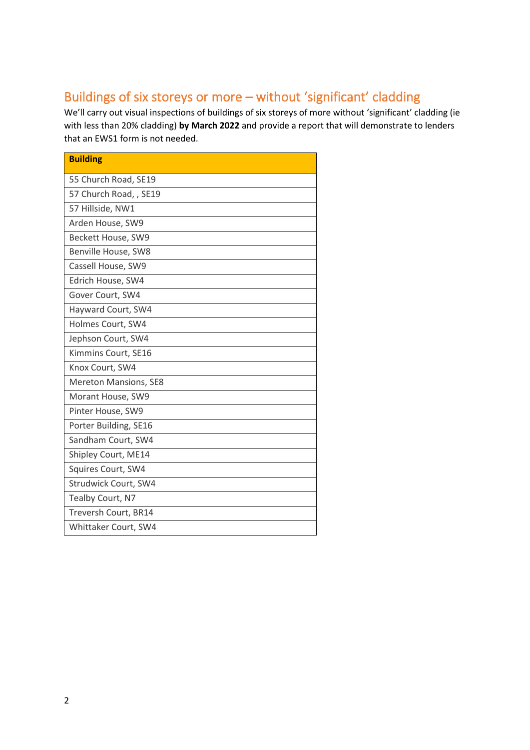# Buildings of six storeys or more – without 'significant' cladding

We'll carry out visual inspections of buildings of six storeys of more without 'significant' cladding (ie with less than 20% cladding) **by March 2022** and provide a report that will demonstrate to lenders that an EWS1 form is not needed.

| <b>Building</b>              |
|------------------------------|
| 55 Church Road, SE19         |
| 57 Church Road, , SE19       |
| 57 Hillside, NW1             |
| Arden House, SW9             |
| Beckett House, SW9           |
| Benville House, SW8          |
| Cassell House, SW9           |
| Edrich House, SW4            |
| Gover Court, SW4             |
| Hayward Court, SW4           |
| Holmes Court, SW4            |
| Jephson Court, SW4           |
| Kimmins Court, SE16          |
| Knox Court, SW4              |
| <b>Mereton Mansions, SE8</b> |
| Morant House, SW9            |
| Pinter House, SW9            |
| Porter Building, SE16        |
| Sandham Court, SW4           |
| Shipley Court, ME14          |
| Squires Court, SW4           |
| Strudwick Court, SW4         |
| Tealby Court, N7             |
| Treversh Court, BR14         |
| Whittaker Court, SW4         |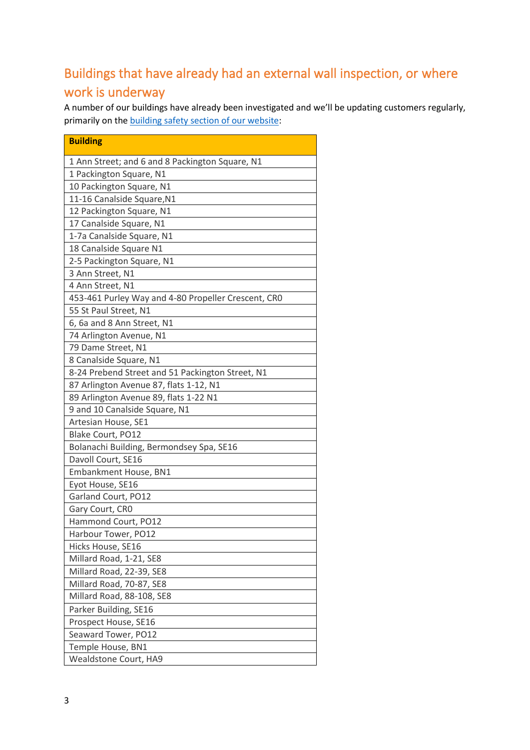### Buildings that have already had an external wall inspection, or where work is underway

A number of our buildings have already been investigated and we'll be updating customers regularly, primarily on the [building safety section of our website:](https://www.hyde-housing.co.uk/building-safety/)

| <b>Building</b>                                     |
|-----------------------------------------------------|
| 1 Ann Street; and 6 and 8 Packington Square, N1     |
| 1 Packington Square, N1                             |
| 10 Packington Square, N1                            |
| 11-16 Canalside Square, N1                          |
| 12 Packington Square, N1                            |
| 17 Canalside Square, N1                             |
| 1-7a Canalside Square, N1                           |
| 18 Canalside Square N1                              |
| 2-5 Packington Square, N1                           |
| 3 Ann Street, N1                                    |
| 4 Ann Street, N1                                    |
| 453-461 Purley Way and 4-80 Propeller Crescent, CRO |
| 55 St Paul Street, N1                               |
| 6, 6a and 8 Ann Street, N1                          |
| 74 Arlington Avenue, N1                             |
| 79 Dame Street, N1                                  |
| 8 Canalside Square, N1                              |
| 8-24 Prebend Street and 51 Packington Street, N1    |
| 87 Arlington Avenue 87, flats 1-12, N1              |
| 89 Arlington Avenue 89, flats 1-22 N1               |
| 9 and 10 Canalside Square, N1                       |
| Artesian House, SE1                                 |
| Blake Court, PO12                                   |
| Bolanachi Building, Bermondsey Spa, SE16            |
| Davoll Court, SE16                                  |
| Embankment House, BN1                               |
| Eyot House, SE16                                    |
| Garland Court, PO12                                 |
| Gary Court, CRO                                     |
| Hammond Court, PO12                                 |
| Harbour Tower, PO12                                 |
| Hicks House, SE16                                   |
| Millard Road, 1-21, SE8                             |
| Millard Road, 22-39, SE8                            |
| Millard Road, 70-87, SE8                            |
| Millard Road, 88-108, SE8                           |
| Parker Building, SE16                               |
| Prospect House, SE16                                |
| Seaward Tower, PO12                                 |
| Temple House, BN1                                   |
| <b>Wealdstone Court, HA9</b>                        |